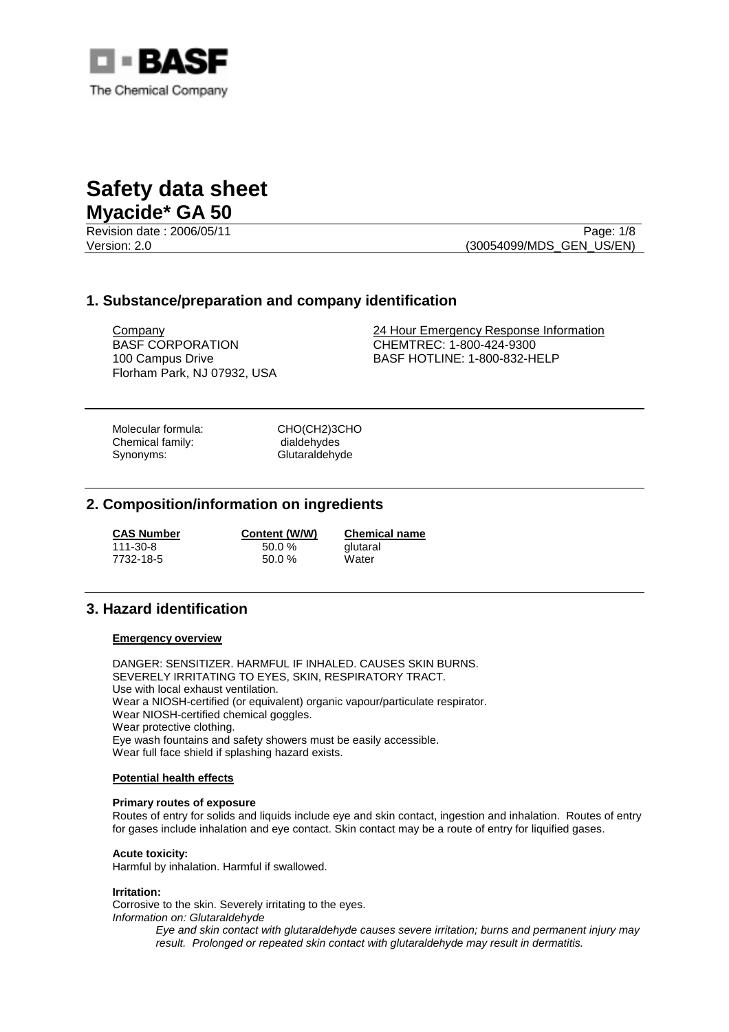

Revision date : 2006/05/11 Page: 1/8 Version: 2.0 (30054099/MDS\_GEN\_US/EN)

# **1. Substance/preparation and company identification**

BASF CORPORATION 100 Campus Drive Florham Park, NJ 07932, USA

Company 24 Hour Emergency Response Information CHEMTREC: 1-800-424-9300 BASF HOTLINE: 1-800-832-HELP

Molecular formula: CHO(CH2)3CHO Chemical family: dialdehydes Synonyms: Glutaraldehyde

## **2. Composition/information on ingredients**

| <b>CAS Number</b> | Content (W/W) | <b>Chemical name</b> |
|-------------------|---------------|----------------------|
| 111-30-8          | $50.0 \%$     | glutaral             |
| 7732-18-5         | $50.0 \%$     | Water                |

# **3. Hazard identification**

### **Emergency overview**

DANGER: SENSITIZER. HARMFUL IF INHALED. CAUSES SKIN BURNS. SEVERELY IRRITATING TO EYES, SKIN, RESPIRATORY TRACT. Use with local exhaust ventilation. Wear a NIOSH-certified (or equivalent) organic vapour/particulate respirator. Wear NIOSH-certified chemical goggles. Wear protective clothing. Eye wash fountains and safety showers must be easily accessible. Wear full face shield if splashing hazard exists.

### **Potential health effects**

### **Primary routes of exposure**

Routes of entry for solids and liquids include eye and skin contact, ingestion and inhalation. Routes of entry for gases include inhalation and eye contact. Skin contact may be a route of entry for liquified gases.

### **Acute toxicity:**

Harmful by inhalation. Harmful if swallowed.

### **Irritation:**

Corrosive to the skin. Severely irritating to the eyes. *Information on: Glutaraldehyde* 

*Eye and skin contact with glutaraldehyde causes severe irritation; burns and permanent injury may result. Prolonged or repeated skin contact with glutaraldehyde may result in dermatitis.*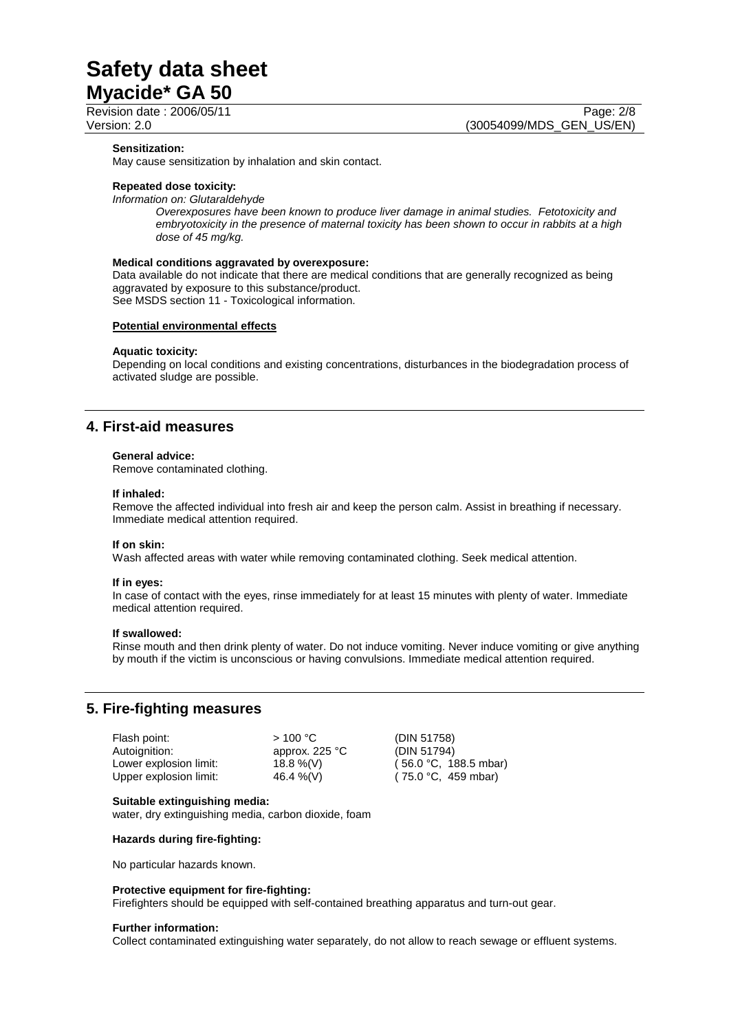Revision date : 2006/05/11 Page: 2/8

#### **Sensitization:**

May cause sensitization by inhalation and skin contact.

### **Repeated dose toxicity:**

*Information on: Glutaraldehyde* 

*Overexposures have been known to produce liver damage in animal studies. Fetotoxicity and embryotoxicity in the presence of maternal toxicity has been shown to occur in rabbits at a high dose of 45 mg/kg.* 

#### **Medical conditions aggravated by overexposure:**

Data available do not indicate that there are medical conditions that are generally recognized as being aggravated by exposure to this substance/product. See MSDS section 11 - Toxicological information.

### **Potential environmental effects**

#### **Aquatic toxicity:**

Depending on local conditions and existing concentrations, disturbances in the biodegradation process of activated sludge are possible.

## **4. First-aid measures**

#### **General advice:**

Remove contaminated clothing.

#### **If inhaled:**

Remove the affected individual into fresh air and keep the person calm. Assist in breathing if necessary. Immediate medical attention required.

### **If on skin:**

Wash affected areas with water while removing contaminated clothing. Seek medical attention.

#### **If in eyes:**

In case of contact with the eyes, rinse immediately for at least 15 minutes with plenty of water. Immediate medical attention required.

#### **If swallowed:**

Rinse mouth and then drink plenty of water. Do not induce vomiting. Never induce vomiting or give anything by mouth if the victim is unconscious or having convulsions. Immediate medical attention required.

## **5. Fire-fighting measures**

| Flash point:           | >100 °C          | (DIN 51758)   |
|------------------------|------------------|---------------|
| Autoignition:          | approx. $225 °C$ | (DIN 51794)   |
| Lower explosion limit: | 18.8 %(V)        | (56.0 °C, 18) |
| Upper explosion limit: | 46.4 %(V)        | (75.0 °C, 45  |

 $°C, 188.5$  mbar)  $°C, 459 mbar)$ 

### **Suitable extinguishing media:**

water, dry extinguishing media, carbon dioxide, foam

### **Hazards during fire-fighting:**

No particular hazards known.

### **Protective equipment for fire-fighting:**

Firefighters should be equipped with self-contained breathing apparatus and turn-out gear.

#### **Further information:**

Collect contaminated extinguishing water separately, do not allow to reach sewage or effluent systems.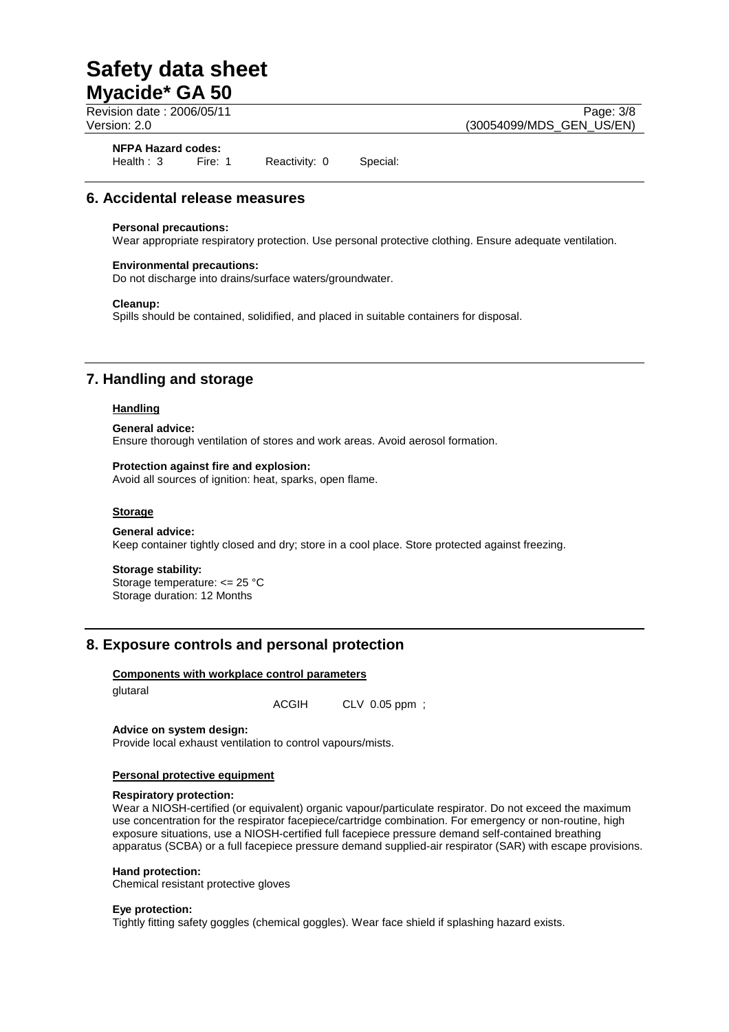**NFPA Hazard codes:** Health : 3 Fire: 1 Reactivity: 0 Special:

# **6. Accidental release measures**

### **Personal precautions:**

Wear appropriate respiratory protection. Use personal protective clothing. Ensure adequate ventilation.

### **Environmental precautions:**

Do not discharge into drains/surface waters/groundwater.

### **Cleanup:**

Spills should be contained, solidified, and placed in suitable containers for disposal.

# **7. Handling and storage**

### **Handling**

### **General advice:**

Ensure thorough ventilation of stores and work areas. Avoid aerosol formation.

### **Protection against fire and explosion:**

Avoid all sources of ignition: heat, sparks, open flame.

### **Storage**

### **General advice:**

Keep container tightly closed and dry; store in a cool place. Store protected against freezing.

### **Storage stability:**

Storage temperature: <= 25 °C Storage duration: 12 Months

## **8. Exposure controls and personal protection**

### **Components with workplace control parameters**

glutaral

ACGIH CLV 0.05 ppm ;

### **Advice on system design:**

Provide local exhaust ventilation to control vapours/mists.

### **Personal protective equipment**

### **Respiratory protection:**

Wear a NIOSH-certified (or equivalent) organic vapour/particulate respirator. Do not exceed the maximum use concentration for the respirator facepiece/cartridge combination. For emergency or non-routine, high exposure situations, use a NIOSH-certified full facepiece pressure demand self-contained breathing apparatus (SCBA) or a full facepiece pressure demand supplied-air respirator (SAR) with escape provisions.

### **Hand protection:**

Chemical resistant protective gloves

### **Eye protection:**

Tightly fitting safety goggles (chemical goggles). Wear face shield if splashing hazard exists.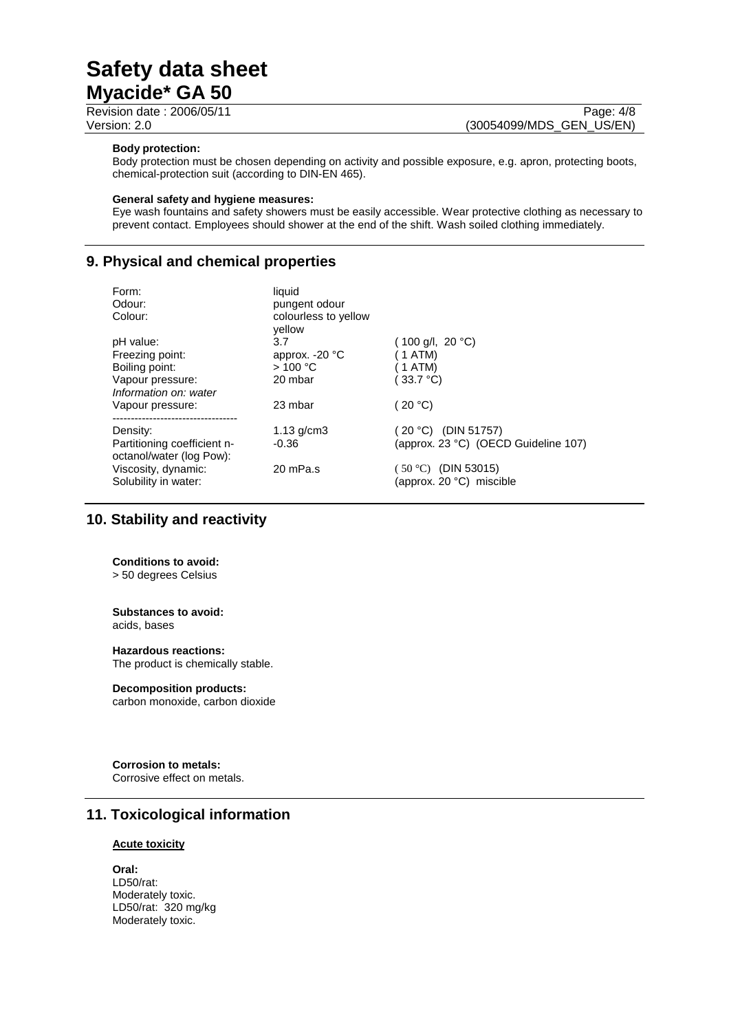Revision date : 2006/05/11 Page: 4/8

Version: 2.0 (30054099/MDS\_GEN\_US/EN)

### **Body protection:**

Body protection must be chosen depending on activity and possible exposure, e.g. apron, protecting boots, chemical-protection suit (according to DIN-EN 465).

### **General safety and hygiene measures:**

Eye wash fountains and safety showers must be easily accessible. Wear protective clothing as necessary to prevent contact. Employees should shower at the end of the shift. Wash soiled clothing immediately.

# **9. Physical and chemical properties**

| Form:<br>Odour:<br>Colour:                              | liquid<br>pungent odour<br>colourless to yellow<br>vellow |                                                   |
|---------------------------------------------------------|-----------------------------------------------------------|---------------------------------------------------|
| pH value:                                               | 3.7                                                       | (100 g/l, 20 °C)                                  |
| Freezing point:                                         | approx. $-20$ °C                                          | 1 ATM)                                            |
| Boiling point:                                          | >100 °C                                                   | 1 ATM)                                            |
| Vapour pressure:<br>Information on: water               | 20 mbar                                                   | $33.7 \text{ }^{\circ}C$                          |
| Vapour pressure:                                        | 23 mbar                                                   | 20 °C                                             |
| Density:                                                | $1.13$ g/cm $3$                                           | 20 °C) (DIN 51757)                                |
| Partitioning coefficient n-<br>octanol/water (log Pow): | $-0.36$                                                   | (approx. 23 °C) (OECD Guideline 107)              |
| Viscosity, dynamic:<br>Solubility in water:             | 20 mPa.s                                                  | $(50 °C)$ (DIN 53015)<br>(approx. 20 °C) miscible |

# **10. Stability and reactivity**

### **Conditions to avoid:**

> 50 degrees Celsius

#### **Substances to avoid:** acids, bases

## **Hazardous reactions:**

The product is chemically stable.

### **Decomposition products:**

carbon monoxide, carbon dioxide

**Corrosion to metals:**  Corrosive effect on metals.

# **11. Toxicological information**

### **Acute toxicity**

**Oral:**  LD50/rat: Moderately toxic. LD50/rat: 320 mg/kg Moderately toxic.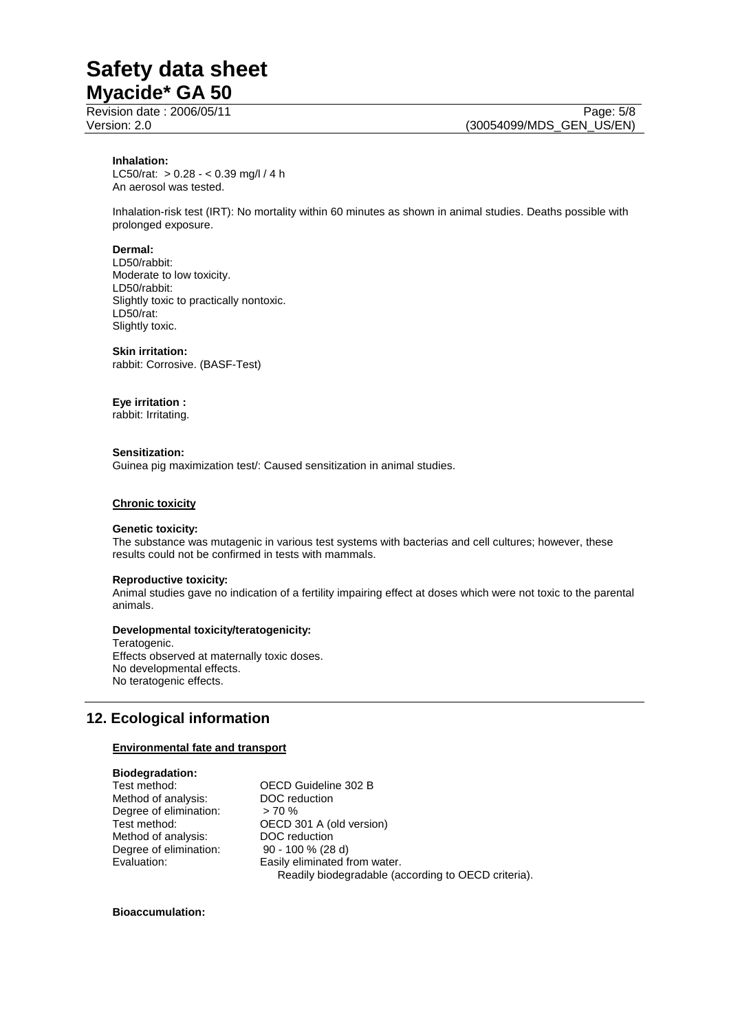### **Inhalation:**

LC50/rat: > 0.28 - < 0.39 mg/l / 4 h An aerosol was tested.

Inhalation-risk test (IRT): No mortality within 60 minutes as shown in animal studies. Deaths possible with prolonged exposure.

#### **Dermal:**

LD50/rabbit: Moderate to low toxicity. LD50/rabbit: Slightly toxic to practically nontoxic. LD50/rat: Slightly toxic.

### **Skin irritation:**

rabbit: Corrosive. (BASF-Test)

### **Eye irritation :**

rabbit: Irritating.

### **Sensitization:**

Guinea pig maximization test/: Caused sensitization in animal studies.

### **Chronic toxicity**

#### **Genetic toxicity:**

The substance was mutagenic in various test systems with bacterias and cell cultures; however, these results could not be confirmed in tests with mammals.

### **Reproductive toxicity:**

Animal studies gave no indication of a fertility impairing effect at doses which were not toxic to the parental animals.

### **Developmental toxicity/teratogenicity:**

Teratogenic. Effects observed at maternally toxic doses. No developmental effects. No teratogenic effects.

# **12. Ecological information**

### **Environmental fate and transport**

### **Biodegradation:**

Method of analysis: Degree of elimination: > 70 % Method of analysis: Degree of elimination: 90 - 100 % (28 d)

Test method: <br>
Method of analysis: 
DOC reduction<br>
DOC reduction Test method: <br>
Method of analysis: <br>
DOC reduction Evaluation: Easily eliminated from water. Readily biodegradable (according to OECD criteria).

### **Bioaccumulation:**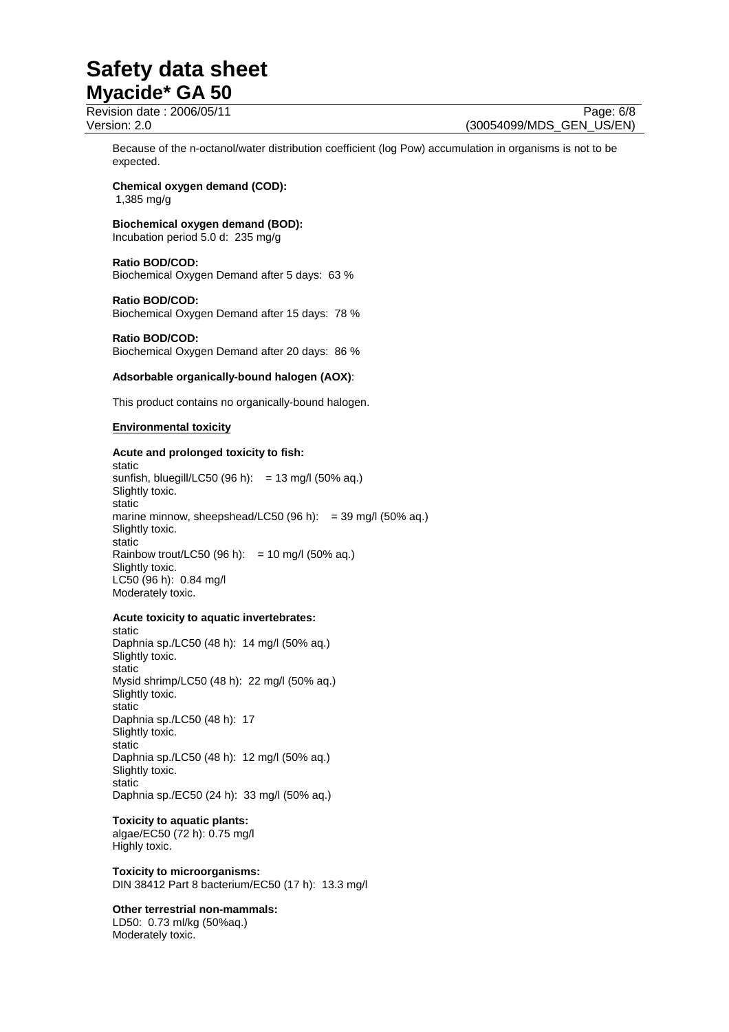Revision date : 2006/05/11 Page: 6/8 Version: 2.0 (30054099/MDS\_GEN\_US/EN)

Because of the n-octanol/water distribution coefficient (log Pow) accumulation in organisms is not to be expected.

#### **Chemical oxygen demand (COD):**  1,385 mg/g

# **Biochemical oxygen demand (BOD):**

Incubation period 5.0 d: 235 mg/g

### **Ratio BOD/COD:**

Biochemical Oxygen Demand after 5 days: 63 %

### **Ratio BOD/COD:**

Biochemical Oxygen Demand after 15 days: 78 %

### **Ratio BOD/COD:**  Biochemical Oxygen Demand after 20 days: 86 %

### **Adsorbable organically-bound halogen (AOX)**:

This product contains no organically-bound halogen.

### **Environmental toxicity**

### **Acute and prolonged toxicity to fish:**

static sunfish, bluegill/LC50 (96 h): = 13 mg/l (50% aq.) Slightly toxic. static marine minnow, sheepshead/LC50 (96 h):  $=$  39 mg/l (50% aq.) Slightly toxic. static Rainbow trout/LC50 (96 h): = 10 mg/l (50% aq.) Slightly toxic. LC50 (96 h): 0.84 mg/l Moderately toxic.

### **Acute toxicity to aquatic invertebrates:**

static Daphnia sp./LC50 (48 h): 14 mg/l (50% aq.) Slightly toxic. static Mysid shrimp/LC50 (48 h): 22 mg/l (50% aq.) Slightly toxic. static Daphnia sp./LC50 (48 h): 17 Slightly toxic. static Daphnia sp./LC50 (48 h): 12 mg/l (50% aq.) Slightly toxic. static Daphnia sp./EC50 (24 h): 33 mg/l (50% aq.)

### **Toxicity to aquatic plants:**

algae/EC50 (72 h): 0.75 mg/l Highly toxic.

**Toxicity to microorganisms:**  DIN 38412 Part 8 bacterium/EC50 (17 h): 13.3 mg/l

### **Other terrestrial non-mammals:**

LD50: 0.73 ml/kg (50%aq.) Moderately toxic.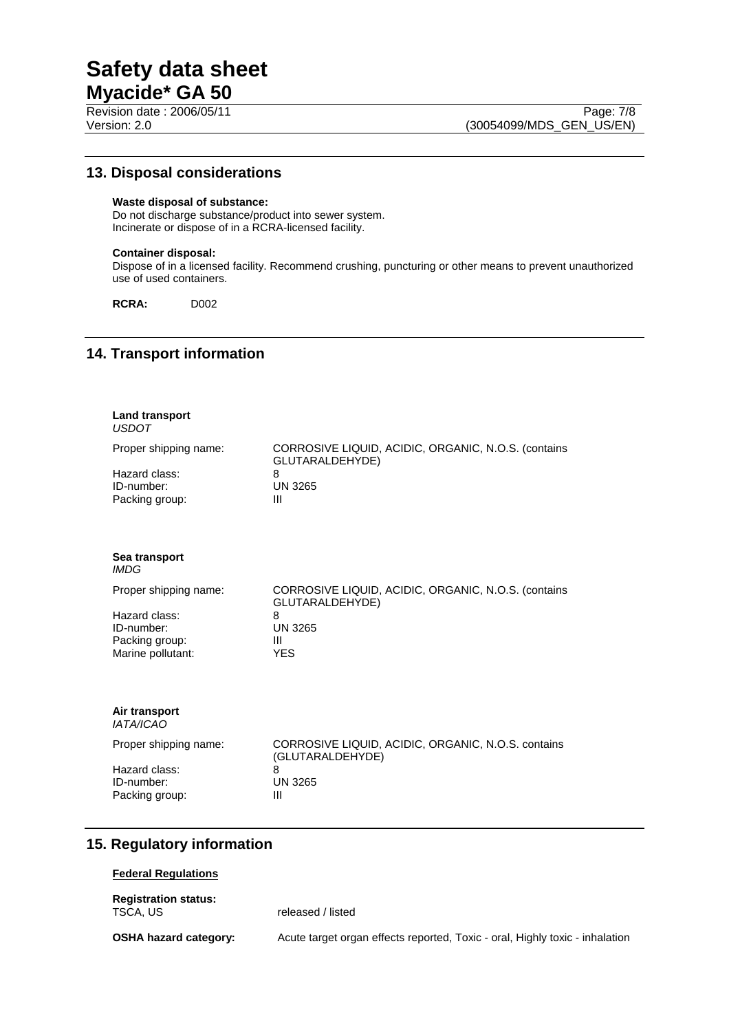## **13. Disposal considerations**

### **Waste disposal of substance:**

Do not discharge substance/product into sewer system. Incinerate or dispose of in a RCRA-licensed facility.

### **Container disposal:**

Dispose of in a licensed facility. Recommend crushing, puncturing or other means to prevent unauthorized use of used containers.

**RCRA:** D002

## **14. Transport information**

| <b>Land transport</b>                                              |                                                                                                    |  |
|--------------------------------------------------------------------|----------------------------------------------------------------------------------------------------|--|
| <b>USDOT</b>                                                       |                                                                                                    |  |
| Proper shipping name:                                              | CORROSIVE LIQUID, ACIDIC, ORGANIC, N.O.S. (contains<br>GLUTARALDEHYDE)<br>8<br><b>UN 3265</b><br>Ш |  |
| Hazard class:<br>ID-number:<br>Packing group:                      |                                                                                                    |  |
| Sea transport<br><i>IMDG</i>                                       |                                                                                                    |  |
| Proper shipping name:                                              | CORROSIVE LIQUID, ACIDIC, ORGANIC, N.O.S. (contains<br>GLUTARALDEHYDE)                             |  |
| Hazard class:<br>ID-number:<br>Packing group:<br>Marine pollutant: | 8<br><b>UN 3265</b><br>Ш<br><b>YES</b>                                                             |  |
| Air transport<br><b>IATA/ICAO</b>                                  |                                                                                                    |  |
| Proper shipping name:                                              | CORROSIVE LIQUID, ACIDIC, ORGANIC, N.O.S. contains<br>(GLUTARALDEHYDE)                             |  |
| Hazard class:<br>ID-number:<br>Packing group:                      | 8<br><b>UN 3265</b><br>$\mathbf{III}$                                                              |  |

# **15. Regulatory information**

### **Federal Regulations**

**Registration status:** 

released / listed

**OSHA hazard category:** Acute target organ effects reported, Toxic - oral, Highly toxic - inhalation